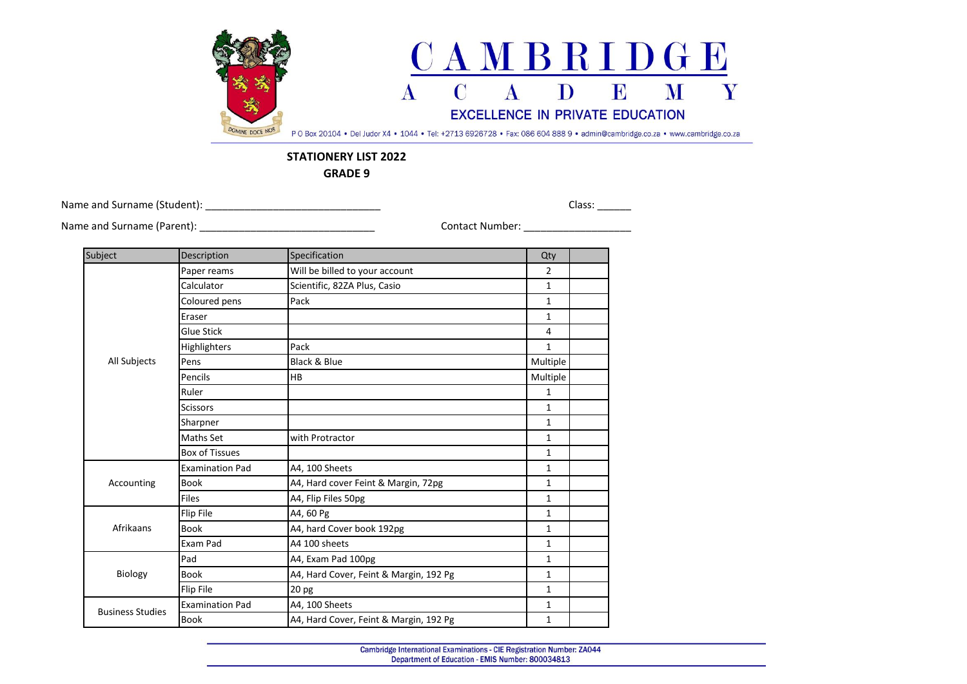

## **STATIONERY LIST 2022**

**GRADE 9**

Name and Surname (Student): \_\_\_\_\_\_\_\_\_\_\_\_\_\_\_\_\_\_\_\_\_\_\_\_\_\_\_\_\_\_\_ Class: \_\_\_\_\_\_

Name and Surname (Parent): \_\_\_\_\_\_\_\_\_\_\_\_\_\_\_\_\_\_\_\_\_\_\_\_\_\_\_\_\_\_\_ Contact Number: \_\_\_\_\_\_\_\_\_\_\_\_\_\_\_\_\_\_\_

| Subject                 | Description            | Specification                          | Qty            |  |
|-------------------------|------------------------|----------------------------------------|----------------|--|
| All Subjects            | Paper reams            | Will be billed to your account         | $\overline{2}$ |  |
|                         | Calculator             | Scientific, 82ZA Plus, Casio           | $\mathbf{1}$   |  |
|                         | Coloured pens          | Pack                                   | $\mathbf{1}$   |  |
|                         | Eraser                 |                                        | $\mathbf{1}$   |  |
|                         | <b>Glue Stick</b>      |                                        | 4              |  |
|                         | Highlighters           | Pack                                   | $\mathbf{1}$   |  |
|                         | Pens                   | Black & Blue                           | Multiple       |  |
|                         | Pencils                | <b>HB</b>                              | Multiple       |  |
|                         | Ruler                  |                                        | $\mathbf{1}$   |  |
|                         | <b>Scissors</b>        |                                        | 1              |  |
|                         | Sharpner               |                                        | $\mathbf{1}$   |  |
|                         | Maths Set              | with Protractor                        | $\mathbf{1}$   |  |
|                         | <b>Box of Tissues</b>  |                                        | $\mathbf{1}$   |  |
| Accounting              | <b>Examination Pad</b> | A4, 100 Sheets                         | $\mathbf{1}$   |  |
|                         | <b>Book</b>            | A4, Hard cover Feint & Margin, 72pg    | 1              |  |
|                         | <b>Files</b>           | A4, Flip Files 50pg                    | $\mathbf{1}$   |  |
| Afrikaans               | Flip File              | A4, 60 Pg                              | 1              |  |
|                         | <b>Book</b>            | A4, hard Cover book 192pg              | 1              |  |
|                         | Exam Pad               | A4 100 sheets                          | $\mathbf{1}$   |  |
| Biology                 | Pad                    | A4, Exam Pad 100pg                     | $\mathbf{1}$   |  |
|                         | <b>Book</b>            | A4, Hard Cover, Feint & Margin, 192 Pg | $\mathbf{1}$   |  |
|                         | Flip File              | 20 <sub>pg</sub>                       | $\mathbf{1}$   |  |
| <b>Business Studies</b> | <b>Examination Pad</b> | A4, 100 Sheets                         | $\mathbf{1}$   |  |
|                         | <b>Book</b>            | A4, Hard Cover, Feint & Margin, 192 Pg | $\mathbf{1}$   |  |
|                         |                        |                                        |                |  |

Cambridge International Examinations - CIE Registration Number: ZA044 Department of Education - EMIS Number: 800034813